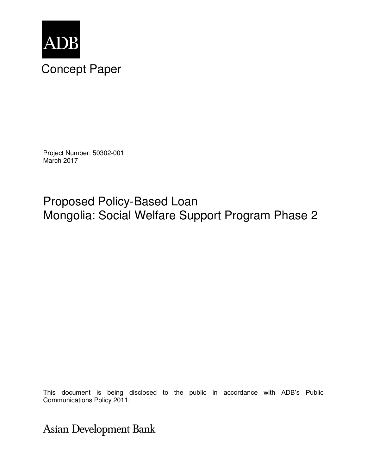

Project Number: 50302-001 March 2017

Proposed Policy-Based Loan Mongolia: Social Welfare Support Program Phase 2

This document is being disclosed to the public in accordance with ADB's Public Communications Policy 2011.

**Asian Development Bank**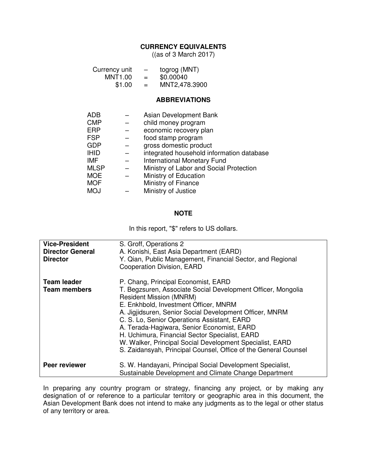#### **CURRENCY EQUIVALENTS**

((as of 3 March 2017)

| Currency unit<br>MNT1.00<br>\$1.00 |  | togrog (MNT)<br>—<br>\$0.00040<br>$\alpha = 1$<br>MNT2,478.3900<br>$=$ |
|------------------------------------|--|------------------------------------------------------------------------|
|                                    |  | <b>ABBREVIATIONS</b>                                                   |
| ADB                                |  | Asian Development Bank                                                 |
| <b>CMP</b>                         |  | child money program                                                    |
| ERP                                |  | economic recovery plan                                                 |
| <b>FSP</b>                         |  | food stamp program                                                     |
| <b>GDP</b>                         |  | gross domestic product                                                 |
| IHID                               |  | integrated household information database                              |
| IMF                                |  | <b>International Monetary Fund</b>                                     |
| MLSP                               |  | Ministry of Labor and Social Protection                                |
| MOE                                |  | Ministry of Education                                                  |
| MOF                                |  | Ministry of Finance                                                    |
| MOJ                                |  | Ministry of Justice                                                    |
|                                    |  |                                                                        |

#### **NOTE**

In this report, "\$" refers to US dollars.

| <b>Vice-President</b><br><b>Director General</b><br><b>Director</b> | S. Groff, Operations 2<br>A. Konishi, East Asia Department (EARD)<br>Y. Qian, Public Management, Financial Sector, and Regional<br><b>Cooperation Division, EARD</b>                                                                                                                                                                                                                                                                                                                                                    |
|---------------------------------------------------------------------|-------------------------------------------------------------------------------------------------------------------------------------------------------------------------------------------------------------------------------------------------------------------------------------------------------------------------------------------------------------------------------------------------------------------------------------------------------------------------------------------------------------------------|
| <b>Team leader</b><br><b>Team members</b>                           | P. Chang, Principal Economist, EARD<br>T. Begzsuren, Associate Social Development Officer, Mongolia<br><b>Resident Mission (MNRM)</b><br>E. Enkhbold, Investment Officer, MNRM<br>A. Jigjidsuren, Senior Social Development Officer, MNRM<br>C. S. Lo, Senior Operations Assistant, EARD<br>A. Terada-Hagiwara, Senior Economist, EARD<br>H. Uchimura, Financial Sector Specialist, EARD<br>W. Walker, Principal Social Development Specialist, EARD<br>S. Zaidansyah, Principal Counsel, Office of the General Counsel |
| <b>Peer reviewer</b>                                                | S. W. Handayani, Principal Social Development Specialist,<br>Sustainable Development and Climate Change Department                                                                                                                                                                                                                                                                                                                                                                                                      |

In preparing any country program or strategy, financing any project, or by making any designation of or reference to a particular territory or geographic area in this document, the Asian Development Bank does not intend to make any judgments as to the legal or other status of any territory or area.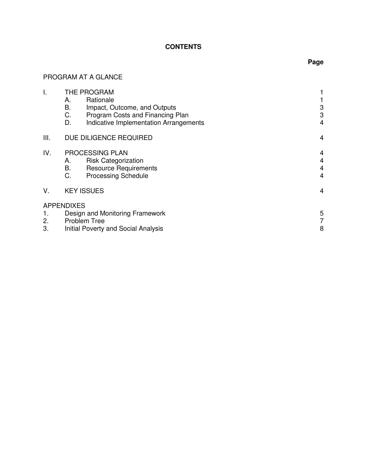# **CONTENTS**

# PROGRAM AT A GLANCE

| I.                        |                                 | THE PROGRAM                               |                |
|---------------------------|---------------------------------|-------------------------------------------|----------------|
|                           | А.<br>В.                        | Rationale<br>Impact, Outcome, and Outputs | 3              |
|                           | C.                              | Program Costs and Financing Plan          | 3              |
|                           | D.                              | Indicative Implementation Arrangements    | $\overline{4}$ |
| III.                      |                                 | DUE DILIGENCE REQUIRED                    | 4              |
| IV.                       |                                 | PROCESSING PLAN                           | 4              |
|                           | А.                              | <b>Risk Categorization</b>                | 4              |
|                           | В.                              | <b>Resource Requirements</b>              | 4              |
|                           | C.                              | <b>Processing Schedule</b>                | 4              |
| V.                        | <b>KEY ISSUES</b>               |                                           | 4              |
|                           | <b>APPENDIXES</b>               |                                           |                |
| 1.                        | Design and Monitoring Framework |                                           | 5              |
| 2.<br><b>Problem Tree</b> |                                 |                                           | 7              |
| 3.                        |                                 | Initial Poverty and Social Analysis       | 8              |
|                           |                                 |                                           |                |

# **Page**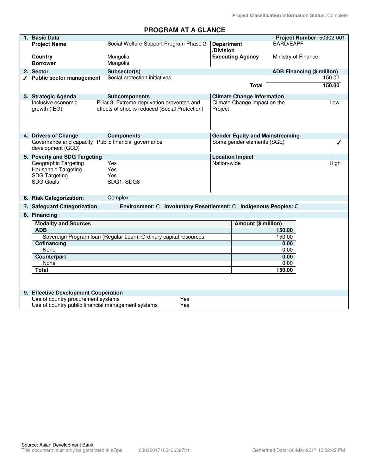**Project Classification Information Status**: Complete

# **PROGRAM AT A GLANCE**

| 1. Basic Data                                       |                                                                   |                        |                                        | Project Number: 50302-001  |        |
|-----------------------------------------------------|-------------------------------------------------------------------|------------------------|----------------------------------------|----------------------------|--------|
| <b>Project Name</b>                                 | Social Welfare Support Program Phase 2                            | <b>Department</b>      |                                        | EARD/EAPF                  |        |
|                                                     |                                                                   | /Division              |                                        |                            |        |
| <b>Country</b>                                      | Mongolia                                                          |                        | <b>Executing Agency</b>                | Ministry of Finance        |        |
| <b>Borrower</b>                                     | Mongolia                                                          |                        |                                        |                            |        |
| 2. Sector                                           | Subsector(s)                                                      |                        |                                        | ADB Financing (\$ million) |        |
| $\sqrt{\phantom{a}}$ Public sector management       | Social protection initiatives                                     |                        |                                        |                            | 150.00 |
|                                                     |                                                                   |                        | <b>Total</b>                           |                            | 150.00 |
| 3. Strategic Agenda                                 | <b>Subcomponents</b>                                              |                        | <b>Climate Change Information</b>      |                            |        |
| Inclusive economic                                  | Pillar 3: Extreme deprivation prevented and                       |                        | Climate Change impact on the           |                            | Low    |
| growth (IEG)                                        | effects of shocks reduced (Social Protection)                     | Project                |                                        |                            |        |
|                                                     |                                                                   |                        |                                        |                            |        |
| 4. Drivers of Change                                | <b>Components</b>                                                 |                        | <b>Gender Equity and Mainstreaming</b> |                            |        |
| Governance and capacity Public financial governance |                                                                   |                        | Some gender elements (SGE)             |                            |        |
| development (GCD)                                   |                                                                   |                        |                                        |                            |        |
| 5. Poverty and SDG Targeting                        |                                                                   | <b>Location Impact</b> |                                        |                            |        |
| Geographic Targeting                                | Yes                                                               | Nation-wide            |                                        |                            | High   |
| Household Targeting                                 | Yes                                                               |                        |                                        |                            |        |
| <b>SDG Targeting</b><br><b>SDG Goals</b>            | Yes<br>SDG1, SDG8                                                 |                        |                                        |                            |        |
|                                                     |                                                                   |                        |                                        |                            |        |
| 6. Risk Categorization:                             | Complex                                                           |                        |                                        |                            |        |
| 7. Safeguard Categorization                         | Environment: C Involuntary Resettlement: C Indigenous Peoples: C  |                        |                                        |                            |        |
| 8. Financing                                        |                                                                   |                        |                                        |                            |        |
| <b>Modality and Sources</b>                         |                                                                   |                        | Amount (\$ million)                    |                            |        |
| <b>ADB</b>                                          |                                                                   |                        |                                        | 150.00                     |        |
|                                                     | Sovereign Program Ioan (Regular Loan): Ordinary capital resources |                        |                                        | 150.00                     |        |
| Cofinancing                                         |                                                                   |                        |                                        | 0.00                       |        |
| None                                                |                                                                   |                        |                                        | 0.00                       |        |
| <b>Counterpart</b><br>None                          |                                                                   |                        |                                        | 0.00<br>0.00               |        |
| <b>Total</b>                                        |                                                                   |                        |                                        | 150.00                     |        |
|                                                     |                                                                   |                        |                                        |                            |        |
|                                                     |                                                                   |                        |                                        |                            |        |
| 9. Effective Development Cooperation                |                                                                   |                        |                                        |                            |        |
| Use of country procurement systems                  | Yes                                                               |                        |                                        |                            |        |
| Use of country public financial management systems  | Yes                                                               |                        |                                        |                            |        |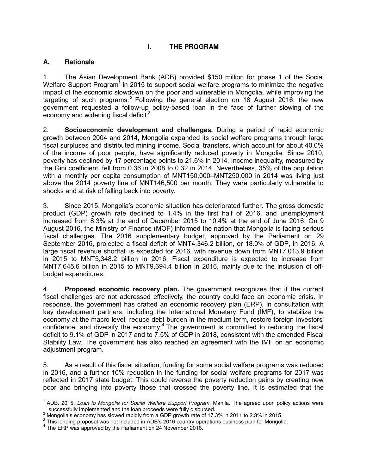## **I. THE PROGRAM**

### **A. Rationale**

1. The Asian Development Bank (ADB) provided \$150 million for phase 1 of the Social Welfare Support Program<sup>1</sup> in 2015 to support social welfare programs to minimize the negative impact of the economic slowdown on the poor and vulnerable in Mongolia, while improving the targeting of such programs.<sup>2</sup> Following the general election on 18 August 2016, the new government requested a follow-up policy-based loan in the face of further slowing of the economy and widening fiscal deficit.<sup>3</sup>

2. **Socioeconomic development and challenges.** During a period of rapid economic growth between 2004 and 2014, Mongolia expanded its social welfare programs through large fiscal surpluses and distributed mining income. Social transfers, which account for about 40.0% of the income of poor people, have significantly reduced poverty in Mongolia. Since 2010, poverty has declined by 17 percentage points to 21.6% in 2014. Income inequality, measured by the Gini coefficient, fell from 0.36 in 2008 to 0.32 in 2014. Nevertheless, 35% of the population with a monthly per capita consumption of MNT150,000–MNT250,000 in 2014 was living just above the 2014 poverty line of MNT146,500 per month. They were particularly vulnerable to shocks and at risk of falling back into poverty.

3. Since 2015, Mongolia's economic situation has deteriorated further. The gross domestic product (GDP) growth rate declined to 1.4% in the first half of 2016, and unemployment increased from 8.3% at the end of December 2015 to 10.4% at the end of June 2016. On 9 August 2016, the Ministry of Finance (MOF) informed the nation that Mongolia is facing serious fiscal challenges. The 2016 supplementary budget, approved by the Parliament on 29 September 2016, projected a fiscal deficit of MNT4,346.2 billion, or 18.0% of GDP, in 2016. A large fiscal revenue shortfall is expected for 2016, with revenue down from MNT7,013.9 billion in 2015 to MNT5,348.2 billion in 2016. Fiscal expenditure is expected to increase from MNT7,645.6 billion in 2015 to MNT9,694.4 billion in 2016, mainly due to the inclusion of offbudget expenditures.

4. **Proposed economic recovery plan.** The government recognizes that if the current fiscal challenges are not addressed effectively, the country could face an economic crisis. In response, the government has crafted an economic recovery plan (ERP), in consultation with key development partners, including the International Monetary Fund (IMF), to stabilize the economy at the macro level, reduce debt burden in the medium term, restore foreign investors' confidence, and diversify the economy.<sup>4</sup> The government is committed to reducing the fiscal deficit to 9.1% of GDP in 2017 and to 7.5% of GDP in 2018, consistent with the amended Fiscal Stability Law. The government has also reached an agreement with the IMF on an economic adjustment program.

5. As a result of this fiscal situation, funding for some social welfare programs was reduced in 2016, and a further 10% reduction in the funding for social welfare programs for 2017 was reflected in 2017 state budget. This could reverse the poverty reduction gains by creating new poor and bringing into poverty those that crossed the poverty line. It is estimated that the

 $\overline{a}$ <sup>1</sup> ADB. 2015. *Loan to Mongolia for Social Welfare Support Program*. Manila. The agreed upon policy actions were successfully implemented and the loan proceeds were fully disbursed.

<sup>&</sup>lt;sup>2</sup> Mongolia's economy has slowed rapidly from a GDP growth rate of 17.3% in 2011 to 2.3% in 2015.

 $3$  This lending proposal was not included in ADB's 2016 country operations business plan for Mongolia.

<sup>&</sup>lt;sup>4</sup> The ERP was approved by the Parliament on 24 November 2016.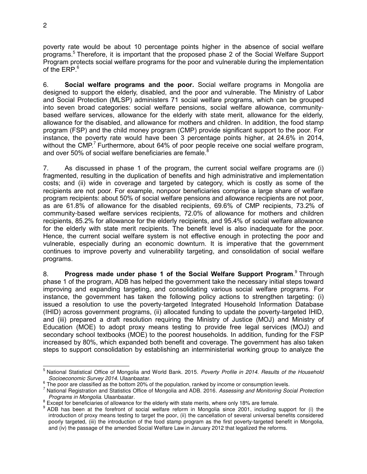poverty rate would be about 10 percentage points higher in the absence of social welfare programs.<sup>5</sup> Therefore, it is important that the proposed phase 2 of the Social Welfare Support Program protects social welfare programs for the poor and vulnerable during the implementation of the ERP. 6

6. **Social welfare programs and the poor.** Social welfare programs in Mongolia are designed to support the elderly, disabled, and the poor and vulnerable. The Ministry of Labor and Social Protection (MLSP) administers 71 social welfare programs, which can be grouped into seven broad categories: social welfare pensions, social welfare allowance, communitybased welfare services, allowance for the elderly with state merit, allowance for the elderly, allowance for the disabled, and allowance for mothers and children. In addition, the food stamp program (FSP) and the child money program (CMP) provide significant support to the poor. For instance, the poverty rate would have been 3 percentage points higher, at 24.6% in 2014, without the CMP.<sup>7</sup> Furthermore, about 64% of poor people receive one social welfare program, and over 50% of social welfare beneficiaries are female.<sup>8</sup>

7. As discussed in phase 1 of the program, the current social welfare programs are (i) fragmented, resulting in the duplication of benefits and high administrative and implementation costs; and (ii) wide in coverage and targeted by category, which is costly as some of the recipients are not poor. For example, nonpoor beneficiaries comprise a large share of welfare program recipients: about 50% of social welfare pensions and allowance recipients are not poor, as are 61.8% of allowance for the disabled recipients, 69.6% of CMP recipients, 73.2% of community-based welfare services recipients, 72.0% of allowance for mothers and children recipients, 85.2% for allowance for the elderly recipients, and 95.4% of social welfare allowance for the elderly with state merit recipients. The benefit level is also inadequate for the poor. Hence, the current social welfare system is not effective enough in protecting the poor and vulnerable, especially during an economic downturn. It is imperative that the government continues to improve poverty and vulnerability targeting, and consolidation of social welfare programs.

8. Progress made under phase 1 of the Social Welfare Support Program.<sup>9</sup> Through phase 1 of the program, ADB has helped the government take the necessary initial steps toward improving and expanding targeting, and consolidating various social welfare programs. For instance, the government has taken the following policy actions to strengthen targeting: (i) issued a resolution to use the poverty-targeted Integrated Household Information Database (IHID) across government programs, (ii) allocated funding to update the poverty-targeted IHID, and (iii) prepared a draft resolution requiring the Ministry of Justice (MOJ) and Ministry of Education (MOE) to adopt proxy means testing to provide free legal services (MOJ) and secondary school textbooks (MOE) to the poorest households. In addition, funding for the FSP increased by 80%, which expanded both benefit and coverage. The government has also taken steps to support consolidation by establishing an interministerial working group to analyze the

 5 National Statistical Office of Mongolia and World Bank. 2015. *Poverty Profile in 2014. Results of the Household Socioeconomic Survey 2014*. Ulaanbaatar.

 $\frac{6}{5}$  The poor are classified as the bottom 20% of the population, ranked by income or consumption levels.

<sup>7</sup> National Registration and Statistics Office of Mongolia and ADB. 2016*. Assessing and Monitoring Social Protection Programs in Mongolia.* Ulaanbaatar.

 $\frac{8}{5}$  Except for beneficiaries of allowance for the elderly with state merits, where only 18% are female.

<sup>&</sup>lt;sup>9</sup> ADB has been at the forefront of social welfare reform in Mongolia since 2001, including support for (i) the introduction of proxy means testing to target the poor, (ii) the cancellation of several universal benefits considered poorly targeted, (iii) the introduction of the food stamp program as the first poverty-targeted benefit in Mongolia, and (iv) the passage of the amended Social Welfare Law in January 2012 that legalized the reforms.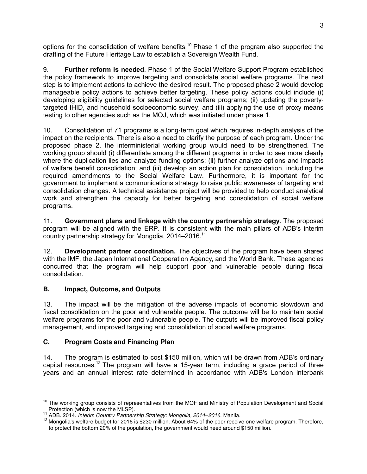options for the consolidation of welfare benefits.<sup>10</sup> Phase 1 of the program also supported the drafting of the Future Heritage Law to establish a Sovereign Wealth Fund.

9. **Further reform is needed**. Phase 1 of the Social Welfare Support Program established the policy framework to improve targeting and consolidate social welfare programs. The next step is to implement actions to achieve the desired result. The proposed phase 2 would develop manageable policy actions to achieve better targeting. These policy actions could include (i) developing eligibility guidelines for selected social welfare programs; (ii) updating the povertytargeted IHID, and household socioeconomic survey; and (iii) applying the use of proxy means testing to other agencies such as the MOJ, which was initiated under phase 1.

10. Consolidation of 71 programs is a long-term goal which requires in-depth analysis of the impact on the recipients. There is also a need to clarify the purpose of each program. Under the proposed phase 2, the interministerial working group would need to be strengthened. The working group should (i) differentiate among the different programs in order to see more clearly where the duplication lies and analyze funding options; (ii) further analyze options and impacts of welfare benefit consolidation; and (iii) develop an action plan for consolidation, including the required amendments to the Social Welfare Law. Furthermore, it is important for the government to implement a communications strategy to raise public awareness of targeting and consolidation changes. A technical assistance project will be provided to help conduct analytical work and strengthen the capacity for better targeting and consolidation of social welfare programs.

11. **Government plans and linkage with the country partnership strategy**. The proposed program will be aligned with the ERP. It is consistent with the main pillars of ADB's interim country partnership strategy for Mongolia, 2014-2016.<sup>11</sup>

12. **Development partner coordination.** The objectives of the program have been shared with the IMF, the Japan International Cooperation Agency, and the World Bank. These agencies concurred that the program will help support poor and vulnerable people during fiscal consolidation.

## **B. Impact, Outcome, and Outputs**

13. The impact will be the mitigation of the adverse impacts of economic slowdown and fiscal consolidation on the poor and vulnerable people. The outcome will be to maintain social welfare programs for the poor and vulnerable people. The outputs will be improved fiscal policy management, and improved targeting and consolidation of social welfare programs.

## **C. Program Costs and Financing Plan**

14. The program is estimated to cost \$150 million, which will be drawn from ADB's ordinary capital resources.<sup>12</sup> The program will have a 15-year term, including a grace period of three years and an annual interest rate determined in accordance with ADB's London interbank

 $\overline{a}$ <sup>10</sup> The working group consists of representatives from the MOF and Ministry of Population Development and Social Protection (which is now the MLSP).

<sup>11</sup> ADB. 2014. *Interim Country Partnership Strategy: Mongolia, 2014–2016*. Manila.

<sup>&</sup>lt;sup>12</sup> Mongolia's welfare budget for 2016 is \$230 million. About 64% of the poor receive one welfare program. Therefore, to protect the bottom 20% of the population, the government would need around \$150 million.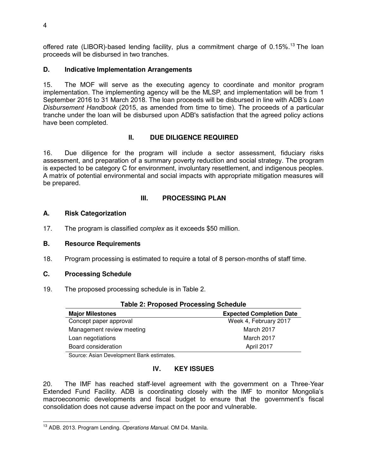offered rate (LIBOR)-based lending facility, plus a commitment charge of 0.15%.<sup>13</sup> The loan proceeds will be disbursed in two tranches.

### **D. Indicative Implementation Arrangements**

15. The MOF will serve as the executing agency to coordinate and monitor program implementation. The implementing agency will be the MLSP, and implementation will be from 1 September 2016 to 31 March 2018. The loan proceeds will be disbursed in line with ADB's *Loan Disbursement Handbook* (2015, as amended from time to time). The proceeds of a particular tranche under the loan will be disbursed upon ADB's satisfaction that the agreed policy actions have been completed.

### **II. DUE DILIGENCE REQUIRED**

16. Due diligence for the program will include a sector assessment, fiduciary risks assessment, and preparation of a summary poverty reduction and social strategy. The program is expected to be category C for environment, involuntary resettlement, and indigenous peoples. A matrix of potential environmental and social impacts with appropriate mitigation measures will be prepared.

#### **III. PROCESSING PLAN**

#### **A. Risk Categorization**

17. The program is classified *complex* as it exceeds \$50 million.

#### **B. Resource Requirements**

18. Program processing is estimated to require a total of 8 person-months of staff time.

#### **C. Processing Schedule**

19. The proposed processing schedule is in Table 2.

| <b>Table 2: Proposed Processing Schedule</b> |                                 |  |  |
|----------------------------------------------|---------------------------------|--|--|
| <b>Major Milestones</b>                      | <b>Expected Completion Date</b> |  |  |
| Concept paper approval                       | Week 4, February 2017           |  |  |
| Management review meeting                    | March 2017                      |  |  |
| Loan negotiations                            | March 2017                      |  |  |
| Board consideration                          | April 2017                      |  |  |

Source: Asian Development Bank estimates.

#### **IV. KEY ISSUES**

20. The IMF has reached staff-level agreement with the government on a Three-Year Extended Fund Facility. ADB is coordinating closely with the IMF to monitor Mongolia's macroeconomic developments and fiscal budget to ensure that the government's fiscal consolidation does not cause adverse impact on the poor and vulnerable.

 $\overline{a}$ <sup>13</sup> ADB. 2013. Program Lending. *Operations Manual.* OM D4. Manila.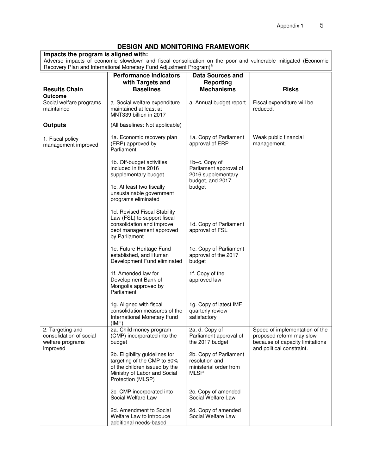#### **DESIGN AND MONITORING FRAMEWORK**

**Impacts the program is aligned with:**  Adverse impacts of economic slowdown and fiscal consolidation on the poor and vulnerable mitigated (Economic Recovery Plan and International Monetary Fund Adjustment Program)<sup>a</sup>

|                                                                             | <b>Performance Indicators</b>                                                                                                                       | <b>Data Sources and</b>                                                           |                                                                                                                            |
|-----------------------------------------------------------------------------|-----------------------------------------------------------------------------------------------------------------------------------------------------|-----------------------------------------------------------------------------------|----------------------------------------------------------------------------------------------------------------------------|
|                                                                             | with Targets and                                                                                                                                    | Reporting                                                                         |                                                                                                                            |
| <b>Results Chain</b><br><b>Outcome</b>                                      | <b>Baselines</b>                                                                                                                                    | <b>Mechanisms</b>                                                                 | <b>Risks</b>                                                                                                               |
| Social welfare programs<br>maintained                                       | a. Social welfare expenditure<br>maintained at least at<br>MNT339 billion in 2017                                                                   | a. Annual budget report                                                           | Fiscal expenditure will be<br>reduced.                                                                                     |
| <b>Outputs</b>                                                              | (All baselines: Not applicable)                                                                                                                     |                                                                                   |                                                                                                                            |
| 1. Fiscal policy<br>management improved                                     | 1a. Economic recovery plan<br>(ERP) approved by<br>Parliament                                                                                       | 1a. Copy of Parliament<br>approval of ERP                                         | Weak public financial<br>management.                                                                                       |
|                                                                             | 1b. Off-budget activities<br>included in the 2016<br>supplementary budget                                                                           | 1b-c. Copy of<br>Parliament approval of<br>2016 supplementary<br>budget, and 2017 |                                                                                                                            |
|                                                                             | 1c. At least two fiscally<br>unsustainable government<br>programs eliminated                                                                        | budget                                                                            |                                                                                                                            |
|                                                                             | 1d. Revised Fiscal Stability<br>Law (FSL) to support fiscal<br>consolidation and improve<br>debt management approved<br>by Parliament               | 1d. Copy of Parliament<br>approval of FSL                                         |                                                                                                                            |
|                                                                             | 1e. Future Heritage Fund<br>established, and Human<br>Development Fund eliminated                                                                   | 1e. Copy of Parliament<br>approval of the 2017<br>budget                          |                                                                                                                            |
|                                                                             | 1f. Amended law for<br>Development Bank of<br>Mongolia approved by<br>Parliament                                                                    | 1f. Copy of the<br>approved law                                                   |                                                                                                                            |
|                                                                             | 1g. Aligned with fiscal<br>consolidation measures of the<br>International Monetary Fund<br>(IMF)                                                    | 1g. Copy of latest IMF<br>quarterly review<br>satisfactory                        |                                                                                                                            |
| 2. Targeting and<br>consolidation of social<br>welfare programs<br>improved | 2a. Child money program<br>(CMP) incorporated into the<br>budget                                                                                    | 2a, d. Copy of<br>Parliament approval of<br>the 2017 budget                       | Speed of implementation of the<br>proposed reform may slow<br>because of capacity limitations<br>and political constraint. |
|                                                                             | 2b. Eligibility guidelines for<br>targeting of the CMP to 60%<br>of the children issued by the<br>Ministry of Labor and Social<br>Protection (MLSP) | 2b. Copy of Parliament<br>resolution and<br>ministerial order from<br>MLSP        |                                                                                                                            |
|                                                                             | 2c. CMP incorporated into<br>Social Welfare Law                                                                                                     | 2c. Copy of amended<br>Social Welfare Law                                         |                                                                                                                            |
|                                                                             | 2d. Amendment to Social<br>Welfare Law to introduce<br>additional needs-based                                                                       | 2d. Copy of amended<br>Social Welfare Law                                         |                                                                                                                            |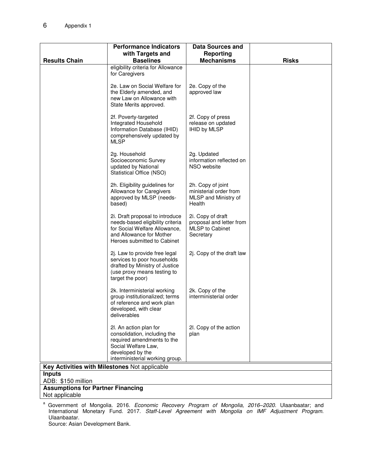|                                               | <b>Performance Indicators</b>                                                                                                                                      | Data Sources and                                                                     |              |  |
|-----------------------------------------------|--------------------------------------------------------------------------------------------------------------------------------------------------------------------|--------------------------------------------------------------------------------------|--------------|--|
|                                               | with Targets and                                                                                                                                                   | Reporting                                                                            |              |  |
| <b>Results Chain</b>                          | <b>Baselines</b><br>eligibility criteria for Allowance                                                                                                             | <b>Mechanisms</b>                                                                    | <b>Risks</b> |  |
|                                               | for Caregivers                                                                                                                                                     |                                                                                      |              |  |
|                                               | 2e. Law on Social Welfare for<br>the Elderly amended, and<br>new Law on Allowance with<br>State Merits approved.                                                   | 2e. Copy of the<br>approved law                                                      |              |  |
|                                               | 2f. Poverty-targeted<br>Integrated Household<br>Information Database (IHID)<br>comprehensively updated by<br>MLSP                                                  | 2f. Copy of press<br>release on updated<br><b>IHID by MLSP</b>                       |              |  |
|                                               | 2g. Household<br>Socioeconomic Survey<br>updated by National<br>Statistical Office (NSO)                                                                           | 2g. Updated<br>information reflected on<br>NSO website                               |              |  |
|                                               | 2h. Eligibility guidelines for<br>Allowance for Caregivers<br>approved by MLSP (needs-<br>based)                                                                   | 2h. Copy of joint<br>ministerial order from<br>MLSP and Ministry of<br>Health        |              |  |
|                                               | 2i. Draft proposal to introduce<br>needs-based eligibility criteria<br>for Social Welfare Allowance,<br>and Allowance for Mother<br>Heroes submitted to Cabinet    | 2i. Copy of draft<br>proposal and letter from<br><b>MLSP</b> to Cabinet<br>Secretary |              |  |
|                                               | 2j. Law to provide free legal<br>services to poor households<br>drafted by Ministry of Justice<br>(use proxy means testing to<br>target the poor)                  | 2j. Copy of the draft law                                                            |              |  |
|                                               | 2k. Interministerial working<br>group institutionalized; terms<br>of reference and work plan<br>developed, with clear<br>deliverables                              | 2k. Copy of the<br>interministerial order                                            |              |  |
|                                               | 2l. An action plan for<br>consolidation, including the<br>required amendments to the<br>Social Welfare Law,<br>developed by the<br>interministerial working group. | 2l. Copy of the action<br>plan                                                       |              |  |
| Key Activities with Milestones Not applicable |                                                                                                                                                                    |                                                                                      |              |  |
| <b>Inputs</b>                                 |                                                                                                                                                                    |                                                                                      |              |  |
| ADB: \$150 million                            |                                                                                                                                                                    |                                                                                      |              |  |
| <b>Assumptions for Partner Financing</b>      |                                                                                                                                                                    |                                                                                      |              |  |
| Not applicable                                |                                                                                                                                                                    |                                                                                      |              |  |

a Government of Mongolia. 2016. *Economic Recovery Program of Mongolia, 2016*–2020. Ulaanbaatar; and International Monetary Fund. 2017. *Staff-Level Agreement with Mongolia on IMF Adjustment Program*. Ulaanbaatar.

Source: Asian Development Bank.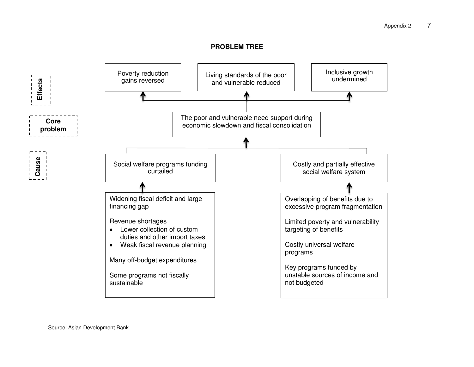#### **PROBLEM TREE**



Source: Asian Development Bank.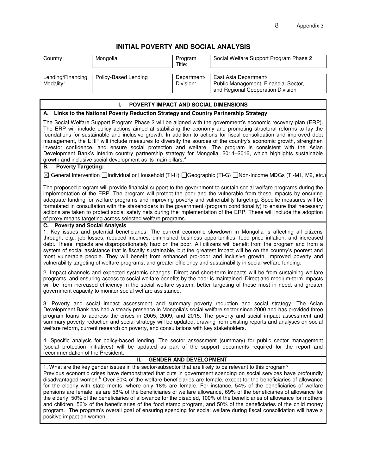# **INITIAL POVERTY AND SOCIAL ANALYSIS**

| Country:                                                                                                                                                                                                                                                                                                                                                                                                                                                                                                                                                                                                                                                                                                                                                                                                                                                                                                                                                                                                    | Mongolia                                                                                                                                                                                                                                                        | Program<br>Title:             | Social Welfare Support Program Phase 2                                                                       |  |  |  |
|-------------------------------------------------------------------------------------------------------------------------------------------------------------------------------------------------------------------------------------------------------------------------------------------------------------------------------------------------------------------------------------------------------------------------------------------------------------------------------------------------------------------------------------------------------------------------------------------------------------------------------------------------------------------------------------------------------------------------------------------------------------------------------------------------------------------------------------------------------------------------------------------------------------------------------------------------------------------------------------------------------------|-----------------------------------------------------------------------------------------------------------------------------------------------------------------------------------------------------------------------------------------------------------------|-------------------------------|--------------------------------------------------------------------------------------------------------------|--|--|--|
| Lending/Financing<br>Modality:                                                                                                                                                                                                                                                                                                                                                                                                                                                                                                                                                                                                                                                                                                                                                                                                                                                                                                                                                                              | Policy-Based Lending                                                                                                                                                                                                                                            | Department/<br>Division:      | East Asia Department/<br>Public Management, Financial Sector,<br>and Regional Cooperation Division           |  |  |  |
|                                                                                                                                                                                                                                                                                                                                                                                                                                                                                                                                                                                                                                                                                                                                                                                                                                                                                                                                                                                                             |                                                                                                                                                                                                                                                                 |                               |                                                                                                              |  |  |  |
| POVERTY IMPACT AND SOCIAL DIMENSIONS<br>L.<br>A. Links to the National Poverty Reduction Strategy and Country Partnership Strategy                                                                                                                                                                                                                                                                                                                                                                                                                                                                                                                                                                                                                                                                                                                                                                                                                                                                          |                                                                                                                                                                                                                                                                 |                               |                                                                                                              |  |  |  |
|                                                                                                                                                                                                                                                                                                                                                                                                                                                                                                                                                                                                                                                                                                                                                                                                                                                                                                                                                                                                             |                                                                                                                                                                                                                                                                 |                               |                                                                                                              |  |  |  |
| The Social Welfare Support Program Phase 2 will be aligned with the government's economic recovery plan (ERP).<br>The ERP will include policy actions aimed at stabilizing the economy and promoting structural reforms to lay the<br>foundations for sustainable and inclusive growth. In addition to actions for fiscal consolidation and improved debt<br>management, the ERP will include measures to diversify the sources of the country's economic growth, strengthen<br>investor confidence, and ensure social protection and welfare. The program is consistent with the Asian<br>Development Bank's interim country partnership strategy for Mongolia, 2014-2016, which highlights sustainable<br>growth and inclusive social development as its main pillars. <sup>a</sup>                                                                                                                                                                                                                       |                                                                                                                                                                                                                                                                 |                               |                                                                                                              |  |  |  |
| <b>Poverty Targeting:</b><br>В.                                                                                                                                                                                                                                                                                                                                                                                                                                                                                                                                                                                                                                                                                                                                                                                                                                                                                                                                                                             |                                                                                                                                                                                                                                                                 |                               |                                                                                                              |  |  |  |
|                                                                                                                                                                                                                                                                                                                                                                                                                                                                                                                                                                                                                                                                                                                                                                                                                                                                                                                                                                                                             |                                                                                                                                                                                                                                                                 |                               | ⊠ General Intervention □Individual or Household (TI-H) □Geographic (TI-G) □Non-Income MDGs (TI-M1, M2, etc.) |  |  |  |
| The proposed program will provide financial support to the government to sustain social welfare programs during the<br>implementation of the ERP. The program will protect the poor and the vulnerable from these impacts by ensuring<br>adequate funding for welfare programs and improving poverty and vulnerability targeting. Specific measures will be<br>formulated in consultation with the stakeholders in the government (program conditionality) to ensure that necessary<br>actions are taken to protect social safety nets during the implementation of the ERP. These will include the adoption<br>of proxy means targeting across selected welfare programs.                                                                                                                                                                                                                                                                                                                                  |                                                                                                                                                                                                                                                                 |                               |                                                                                                              |  |  |  |
| C. Poverty and Social Analysis                                                                                                                                                                                                                                                                                                                                                                                                                                                                                                                                                                                                                                                                                                                                                                                                                                                                                                                                                                              |                                                                                                                                                                                                                                                                 |                               |                                                                                                              |  |  |  |
| 1. Key issues and potential beneficiaries. The current economic slowdown in Mongolia is affecting all citizens<br>through, e.g., job losses, reduced incomes, diminished business opportunities, food price inflation, and increased<br>debt. These impacts are disproportionately hard on the poor. All citizens will benefit from the program and from a<br>system of social assistance that is fiscally sustainable, but the greatest impact will be on the country's poorest and<br>most vulnerable people. They will benefit from enhanced pro-poor and inclusive growth, improved poverty and<br>vulnerability targeting of welfare programs, and greater efficiency and sustainability in social welfare funding.                                                                                                                                                                                                                                                                                    |                                                                                                                                                                                                                                                                 |                               |                                                                                                              |  |  |  |
| 2. Impact channels and expected systemic changes. Direct and short-term impacts will be from sustaining welfare<br>programs, and ensuring access to social welfare benefits by the poor is maintained. Direct and medium-term impacts<br>will be from increased efficiency in the social welfare system, better targeting of those most in need, and greater<br>government capacity to monitor social welfare assistance.                                                                                                                                                                                                                                                                                                                                                                                                                                                                                                                                                                                   |                                                                                                                                                                                                                                                                 |                               |                                                                                                              |  |  |  |
| 3. Poverty and social impact assessment and summary poverty reduction and social strategy. The Asian<br>Development Bank has had a steady presence in Mongolia's social welfare sector since 2000 and has provided three<br>program loans to address the crises in 2005, 2009, and 2015. The poverty and social impact assessment and<br>summary poverty reduction and social strategy will be updated, drawing from existing reports and analyses on social<br>welfare reform, current research on poverty, and consultations with key stakeholders.                                                                                                                                                                                                                                                                                                                                                                                                                                                       |                                                                                                                                                                                                                                                                 |                               |                                                                                                              |  |  |  |
|                                                                                                                                                                                                                                                                                                                                                                                                                                                                                                                                                                                                                                                                                                                                                                                                                                                                                                                                                                                                             | 4. Specific analysis for policy-based lending. The sector assessment (summary) for public sector management<br>(social protection initiatives) will be updated as part of the support documents required for the report and<br>recommendation of the President. |                               |                                                                                                              |  |  |  |
|                                                                                                                                                                                                                                                                                                                                                                                                                                                                                                                                                                                                                                                                                                                                                                                                                                                                                                                                                                                                             | II.                                                                                                                                                                                                                                                             | <b>GENDER AND DEVELOPMENT</b> |                                                                                                              |  |  |  |
| 1. What are the key gender issues in the sector/subsector that are likely to be relevant to this program?<br>Previous economic crises have demonstrated that cuts in government spending on social services have profoundly<br>disadvantaged women. <sup>b</sup> Over 50% of the welfare beneficiaries are female, except for the beneficiaries of allowance<br>for the elderly with state merits, where only 18% are female. For instance, 54% of the beneficiaries of welfare<br>pensions are female, as are 58% of the beneficiaries of welfare allowance, 69% of the beneficiaries of allowance for<br>the elderly, 50% of the beneficiaries of allowance for the disabled, 100% of the beneficiaries of allowance for mothers<br>and children, 56% of the beneficiaries of the food stamp program, and 50% of the beneficiaries of the child money<br>program. The program's overall goal of ensuring spending for social welfare during fiscal consolidation will have a<br>positive impact on women. |                                                                                                                                                                                                                                                                 |                               |                                                                                                              |  |  |  |
|                                                                                                                                                                                                                                                                                                                                                                                                                                                                                                                                                                                                                                                                                                                                                                                                                                                                                                                                                                                                             |                                                                                                                                                                                                                                                                 |                               |                                                                                                              |  |  |  |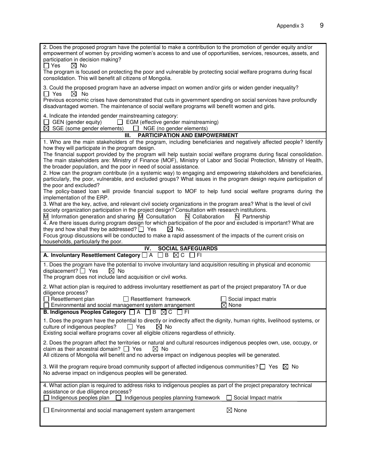| empowerment of women by providing women's access to and use of opportunities, services, resources, assets, and<br>participation in decision making?<br>$\boxtimes$ No<br>$\square$ Yes                                                                                                         |
|------------------------------------------------------------------------------------------------------------------------------------------------------------------------------------------------------------------------------------------------------------------------------------------------|
| The program is focused on protecting the poor and vulnerable by protecting social welfare programs during fiscal<br>consolidation. This will benefit all citizens of Mongolia.                                                                                                                 |
| 3. Could the proposed program have an adverse impact on women and/or girls or widen gender inequality?<br>$\Box$ Yes<br>$\boxtimes$ No                                                                                                                                                         |
| Previous economic crises have demonstrated that cuts in government spending on social services have profoundly<br>disadvantaged women. The maintenance of social welfare programs will benefit women and girls.                                                                                |
| 4. Indicate the intended gender mainstreaming category:<br>GEN (gender equity) $\Box$ EGM (effective gender mainstreaming)<br>$\boxtimes$ SGE (some gender elements) $\Box$ NGE (no gender elements)                                                                                           |
| <b>PARTICIPATION AND EMPOWERMENT</b><br>Ш.                                                                                                                                                                                                                                                     |
| 1. Who are the main stakeholders of the program, including beneficiaries and negatively affected people? Identify                                                                                                                                                                              |
| how they will participate in the program design.<br>The financial support provided by the program will help sustain social welfare programs during fiscal consolidation.<br>The main stakeholders are: Ministry of Finance (MOF), Ministry of Labor and Social Protection, Ministry of Health, |
| the broader population, and the poor in need of social assistance.                                                                                                                                                                                                                             |
| 2. How can the program contribute (in a systemic way) to engaging and empowering stakeholders and beneficiaries,<br>particularly, the poor, vulnerable, and excluded groups? What issues in the program design require participation of<br>the poor and excluded?                              |
| The policy-based loan will provide financial support to MOF to help fund social welfare programs during the<br>implementation of the ERP.                                                                                                                                                      |
| 3. What are the key, active, and relevant civil society organizations in the program area? What is the level of civil<br>society organization participation in the project design? Consultation with research institutions.                                                                    |
| $\overline{M}$ Information generation and sharing $\overline{M}$ Consultation<br>N Collaboration<br>N Partnership                                                                                                                                                                              |
| 4. Are there issues during program design for which participation of the poor and excluded is important? What are<br>$\boxtimes$ No.<br>they and how shall they be addressed? $\Box$ Yes                                                                                                       |
| Focus group discussions will be conducted to make a rapid assessment of the impacts of the current crisis on                                                                                                                                                                                   |
| households, particularly the poor.                                                                                                                                                                                                                                                             |
|                                                                                                                                                                                                                                                                                                |
| IV.<br><b>SOCIAL SAFEGUARDS</b><br>A. Involuntary Resettlement Category <sup>1</sup> A<br>$\Box$ B $\boxtimes$ C $\Box$ FI                                                                                                                                                                     |
| 1. Does the program have the potential to involve involuntary land acquisition resulting in physical and economic<br>displacement? $\Box$ Yes<br>$\boxtimes$ No<br>The program does not include land acquisition or civil works.                                                               |
| 2. What action plan is required to address involuntary resettlement as part of the project preparatory TA or due                                                                                                                                                                               |
| diligence process?<br>$\Box$ Resettlement plan<br>$\Box$ Resettlement framework<br>Social impact matrix                                                                                                                                                                                        |
| Environmental and social management system arrangement<br>$\boxtimes$ None<br>B. Indigenous Peoples Category □ A □ B ⊠ C □ FI                                                                                                                                                                  |
| 1. Does the program have the potential to directly or indirectly affect the dignity, human rights, livelihood systems, or<br>culture of indigenous peoples?<br>$\boxtimes$ No<br>II Yes                                                                                                        |
| Existing social welfare programs cover all eligible citizens regardless of ethnicity.<br>2. Does the program affect the territories or natural and cultural resources indigenous peoples own, use, occupy, or                                                                                  |
| claim as their ancestral domain? $\Box$ Yes<br>$\boxtimes$ No<br>All citizens of Mongolia will benefit and no adverse impact on indigenous peoples will be generated.                                                                                                                          |
| 3. Will the program require broad community support of affected indigenous communities? $\square$ Yes $\boxtimes$ No<br>No adverse impact on indigenous peoples will be generated.                                                                                                             |
| 4. What action plan is required to address risks to indigenous peoples as part of the project preparatory technical<br>assistance or due diligence process?                                                                                                                                    |
| Indigenous peoples plan<br>Indigenous peoples planning framework<br>Social Impact matrix<br>$\boxtimes$ None<br>Environmental and social management system arrangement                                                                                                                         |